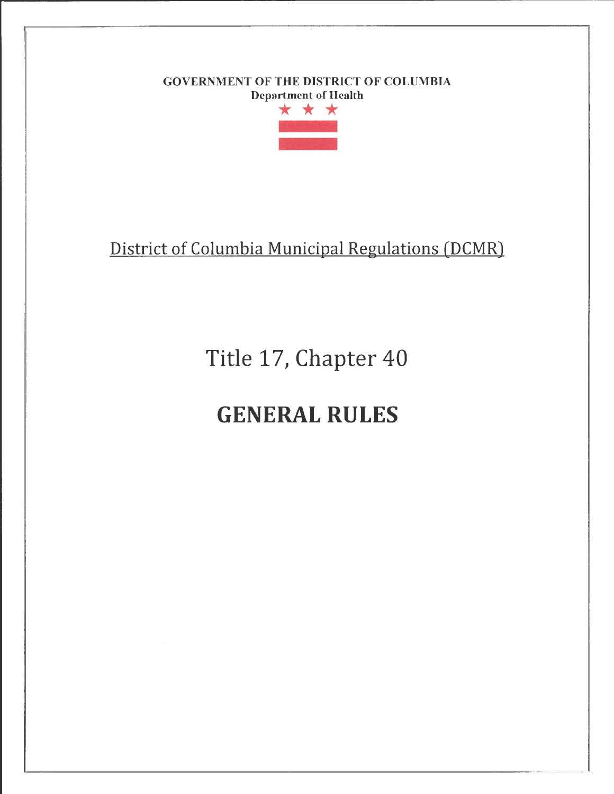# GOVERNMENT OF THE DISTRICT OF COLUMBIA Department of Health

r-------------------------- - ----··· --



# District of Columbia Municipal Regulations (DCMR)

Title 17, Chapter 40

# GENERAL RULES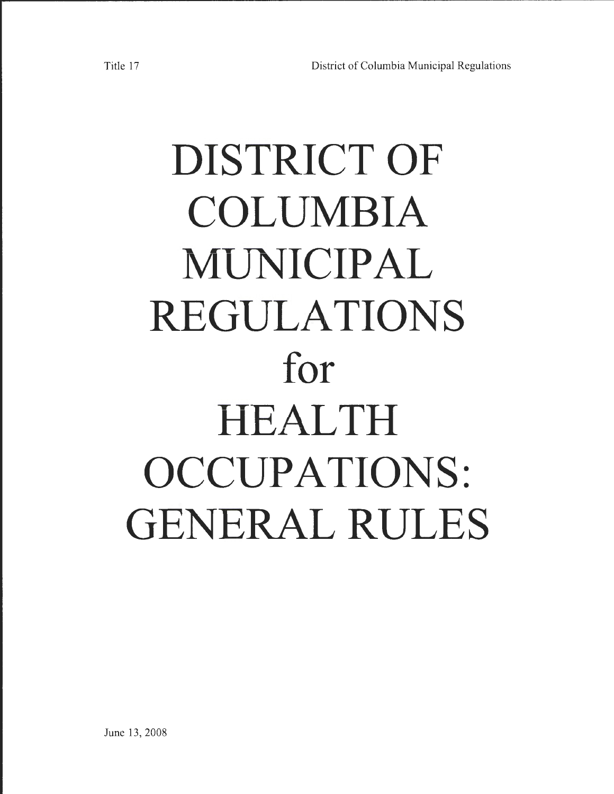# **DISTRICT OF COLUMBIA MUNICIPAL REGULATIONS for HEALTH OCCUPATIONS: GENERAL RULES**

r-----------------~~ <sup>~</sup>

June 13, 2008 June 13, 2008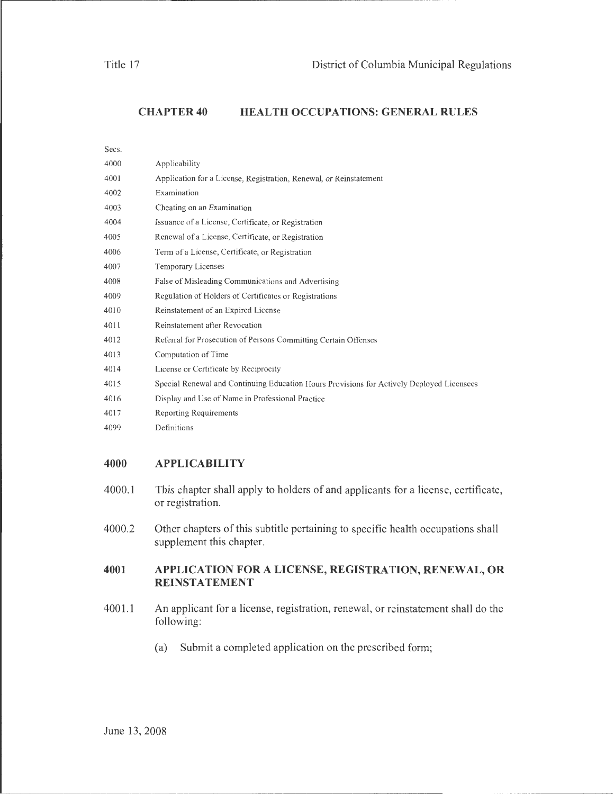**CHAPTER40 HEALTH OCCUPATIONS: GENERAL RULES** 

| Secs. |                                                                                           |
|-------|-------------------------------------------------------------------------------------------|
| 4000  | Applicability                                                                             |
| 4001  | Application for a License, Registration, Renewal, or Reinstatement                        |
| 4002  | Examination                                                                               |
| 4003  | Cheating on an Examination                                                                |
| 4004  | Issuance of a License, Certificate, or Registration                                       |
| 4005  | Renewal of a License, Certificate, or Registration                                        |
| 4006  | Term of a License, Certificate, or Registration                                           |
| 4007  | Temporary Licenses                                                                        |
| 4008  | False of Misleading Communications and Advertising                                        |
| 4009  | Regulation of Holders of Certificates or Registrations                                    |
| 4010  | Reinstatement of an Expired License                                                       |
| 4011  | Reinstatement after Revocation                                                            |
| 4012  | Referral for Prosecution of Persons Committing Certain Offenses                           |
| 4013  | Computation of Time                                                                       |
| 4014  | License or Certificate by Reciprocity                                                     |
| 4015  | Special Renewal and Continuing Education Hours Provisions for Actively Deployed Licensees |
| 4016  | Display and Use of Name in Professional Practice                                          |
| 4017  | Reporting Requirements                                                                    |
| 4099  | Definitions                                                                               |

#### **4000 APPLICABILITY**

- 4000.1 This chapter shall apply to holders of and applicants for a license, certificate, or registration.
- 4000.2 Other chapters of this subtitle pertaining to specific health occupations shall supplement this chapter.

#### **4001 APPLICATION FOR A LICENSE, REGISTRATION, RENEWAL, OR REINSTATEMENT**

- 4001.1 An applicant for a license, registration, renewal, or reinstatement shall do the following:
	- (a) Submit a completed application on the prescribed form;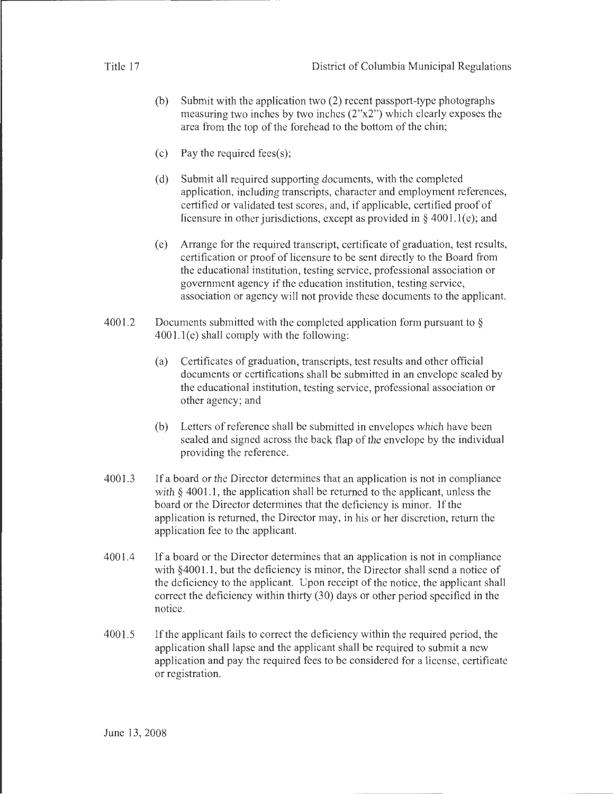- (b) Submit with the application two (2) recent passport-type photographs measuring two inches by two inches (2"x2") which clearly exposes the area from the top of the forehead to the bottom of the chin;
- (c) Pay the required fees(s);
- (d) Submit all required supporting documents, with the completed application, including transcripts, character and employment references, certified or validated test scores, and, if applicable, certified proof of licensure in other jurisdictions, except as provided in  $\S$  4001.1(e); and
- (e) Arrange for the required transcript, certificate of graduation, test results, certification or proof of licensure to be sent directly to the Board from the educational institution, testing service, professional association or government agency if the education institution, testing service, association or agency will not provide these documents to the applicant.
- 4001.2 Documents submitted with the completed application form pursuant to  $\S$  $4001.1(e)$  shall comply with the following:
	- (a) Certificates of graduation, transcripts, test results and other official documents or certifications shall be submitted in an envelope sealed by the educational institution, testing service, professional association or other agency; and
	- (b) Letters of reference shall be submitted in envelopes which have been sealed and signed across the back flap of the envelope by the individual providing the reference.
- 4001.3 If a board or the Director determines that an application is not in compliance with  $\S$  4001.1, the application shall be returned to the applicant, unless the board or the Director determines that the deficiency is minor. If the application is returned, the Director may, in his or her discretion, return the application fee to the applicant.
- 4001.4 If a board or the Director determines that an application is not in compliance with §4001.1, but the deficiency is minor, the Director shall send a notice of the deficiency to the applicant. Upon receipt of the notice, the applicant shall correct the deficiency within thirty (30) days or other period specified in the notice.
- 4001.5 If the applicant fails to correct the deficiency within the required period, the application shall lapse and the applicant shall be required to submit a new application and pay the required fees to be considered for a license, certificate or registration.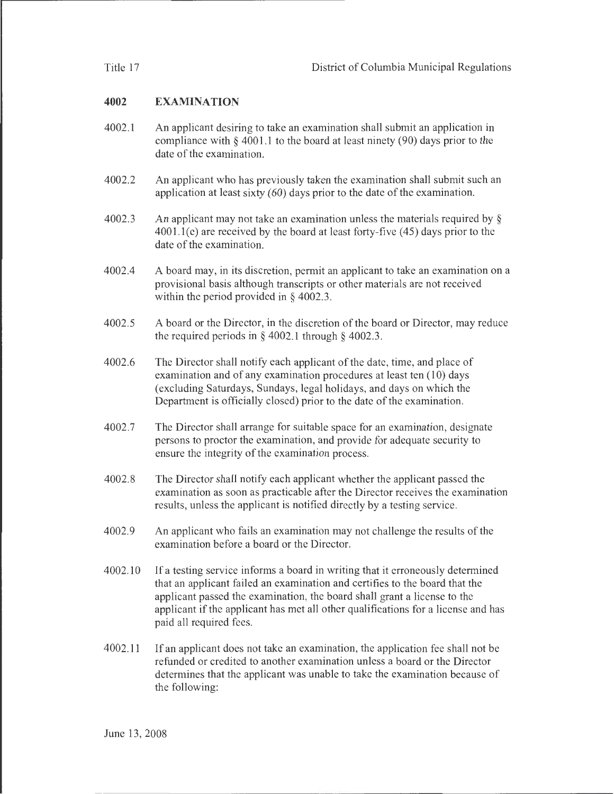# **4002 EXAMINATION**

- 4002.1 An applicant desiring to take an examination shall submit an application in compliance with § 4001.1 to the board at least ninety (90) days prior to the date of the examination.
- 4002.2 An applicant who has previously taken the examination shall submit such an application at least sixty (60) days prior to the date of the examination.
- 4002.3 An applicant may not take an examination unless the materials required by  $\S$  $4001.1(e)$  are received by the board at least forty-five  $(45)$  days prior to the date of the examination.
- 4002.4 A board may, in its discretion, permit an applicant to take an examination on a provisional basis although transcripts or other materials are not received within the period provided in  $\S$  4002.3.
- 4002.5 A board or the Director, in the discretion of the board or Director, may reduce the required periods in  $\S$  4002.1 through  $\S$  4002.3.
- 4002.6 The Director shall notify each applicant of the date, time, and place of examination and of any examination procedures at least ten  $(10)$  days (excluding Saturdays, Sundays, legal holidays, and days on which the Department is officially closed) prior to the date of the examination.
- 4002.7 The Director shall arrange for suitable space for an examination, designate persons to proctor the examination, and provide for adequate security to ensure the integrity of the examination process.
- 4002.8 The Director shall notify each applicant whether the applicant passed the examination as soon as practicable after the Director receives the examination results, unless the applicant is notified directly by a testing service.
- 4002.9 An applicant who fails an examination may not challenge the results of the examination before a board or the Director.
- 4002.10 If a testing service informs a board in writing that it erroneously determined that an applicant failed an examination and certifies to the board that the applicant passed the examination, the board shall grant a license to the applicant if the applicant has met all other qualifications for a license and has paid all required fees.
- 4002.11 If an applicant does not take an examination, the application fee shall not be refunded or credited to another examination unless a board or the Director determines that the applicant was unable to take the examination because of the following: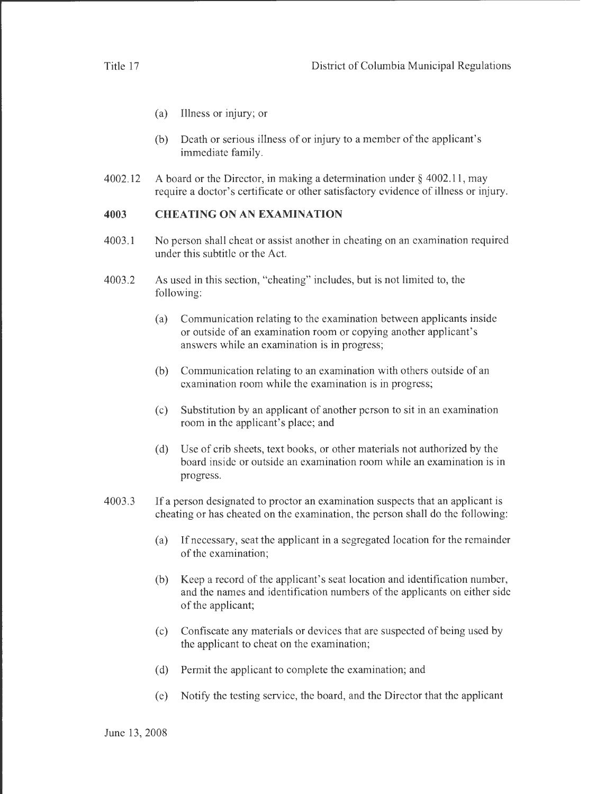- (a) Illness or injury; or
- (b) Death or serious illness of or injury to a member of the applicant's immediate family.
- 4002.12 A board or the Director, in making a determination under§ 4002.11, may require a doctor's certificate or other satisfactory evidence of illness or injury.

### **4003 CHEATING ON AN EXAMINATION**

- 4003.1 No person shall cheat or assist another in cheating on an examination required under this subtitle or the Act.
- 4003.2 As used in this section, "cheating" includes, but is not limited to, the following:
	- (a) Communication relating to the examination between applicants inside or outside of an examination room or copying another applicant's answers while an examination is in progress;
	- (b) Communication relating to an examination with others outside of an examination room while the examination is in progress;
	- (c) Substitution by an applicant of another person to sit in an examination room in the applicant's place; and
	- (d) Use of crib sheets, text books, or other materials not authorized by the board inside or outside an examination room while an examination is in progress.
- 4003.3 If a person designated to proctor an examination suspects that an applicant is cheating or has cheated on the examination, the person shall do the following:
	- (a) If necessary, seat the applicant in a segregated location for the remainder of the examination;
	- (b) Keep a record of the applicant's seat location and identification number, and the names and identification numbers of the applicants on either side of the applicant;
	- (c) Confiscate any materials or devices that are suspected of being used by the applicant to cheat on the examination;
	- (d) Permit the applicant to complete the examination; and
	- (e) Notify the testing service, the board, and the Director that the applicant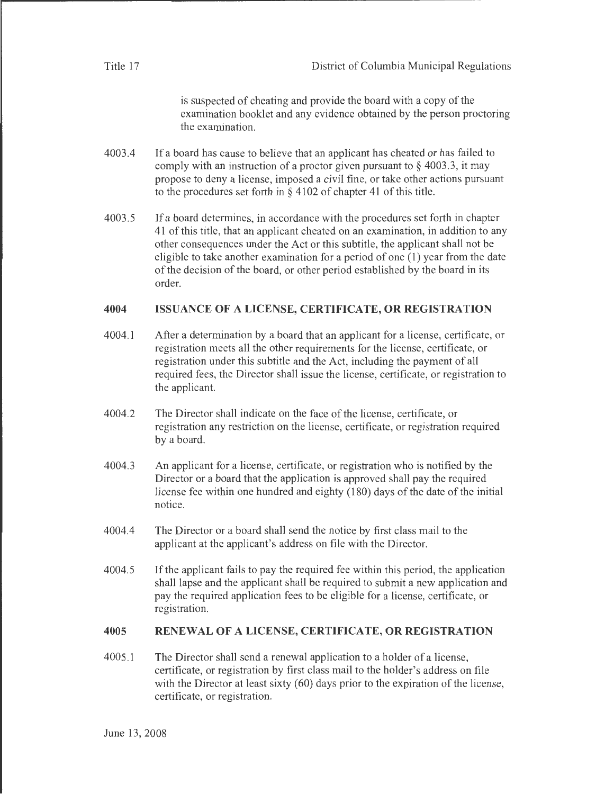| Title 17 | District of Columbia Municipal Regulations |
|----------|--------------------------------------------|
|          |                                            |

is suspected of cheating and provide the board with a copy of the examination booklet and any evidence obtained by the person proctoring the examination.

- 4003.4 If a board has cause to believe that an applicant has cheated or has failed to comply with an instruction of a proctor given pursuant to  $\S$  4003.3, it may propose to deny a license, imposed a civil fine, or take other actions pursuant to the procedures set forth in  $\S 4102$  of chapter 41 of this title.
- 4003.5 If a board determines, in accordance with the procedures set forth in chapter 41 of this title, that an applicant cheated on an examination, in addition to any other consequences under the Act or this subtitle, the applicant shall not be eligible to take another examination for a period of one (1) year from the date of the decision of the board, or other period established by the board in its order.

#### **4004 ISSUANCE OF A LICENSE, CERTIFICATE, OR REGISTRATION**

- 4004.1 After a determination by a board that an applicant for a license, certificate, or registration meets all the other requirements for the license, certificate, or registration under this subtitle and the Act, including the payment of all required fees, the Director shall issue the license, certificate, or registration to the applicant.
- 4004.2 The Director shall indicate on the face of the license, certificate, or registration any restriction on the license, certificate, or registration required by a board.
- 4004.3 An applicant for a license, certificate, or registration who is notified by the Director or a board that the application is approved shall pay the required license fee within one hundred and eighty (180) days of the date of the initial notice.
- 4004.4 The Director or a board shall send the notice by first class mail to the applicant at the applicant's address on file with the Director.
- 4004.5 If the applicant fails to pay the required fee within this period, the application shall lapse and the applicant shall be required to submit a new application and pay the required application fees to be eligible for a license, certificate, or registration.

#### **4005 RENEWAL OF A LICENSE, CERTIFICATE, OR REGISTRATION**

4005.1 The Director shall send a renewal application to a holder of a license, certificate, or registration by first class mail to the holder's address on file with the Director at least sixty (60) days prior to the expiration of the license, certificate, or registration.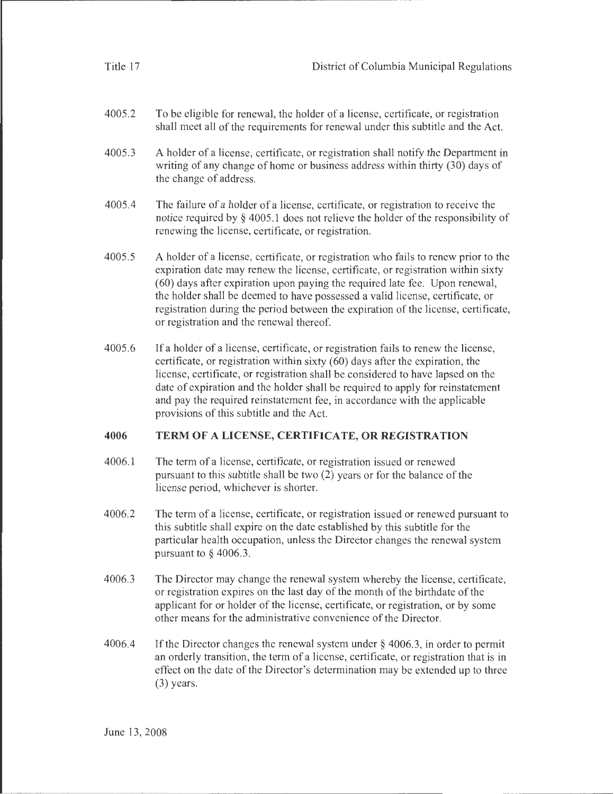| Title 17 | District of Columbia Municipal Regulations                                                                                                                                                                                                                                                                                                                                                                                                                                |
|----------|---------------------------------------------------------------------------------------------------------------------------------------------------------------------------------------------------------------------------------------------------------------------------------------------------------------------------------------------------------------------------------------------------------------------------------------------------------------------------|
| 4005.2   | To be eligible for renewal, the holder of a license, certificate, or registration<br>shall meet all of the requirements for renewal under this subtitle and the Act.                                                                                                                                                                                                                                                                                                      |
| 4005.3   | A holder of a license, certificate, or registration shall notify the Department in<br>writing of any change of home or business address within thirty (30) days of<br>the change of address.                                                                                                                                                                                                                                                                              |
| 4005.4   | The failure of a holder of a license, certificate, or registration to receive the<br>notice required by $\S$ 4005.1 does not relieve the holder of the responsibility of<br>renewing the license, certificate, or registration.                                                                                                                                                                                                                                           |
| 4005.5   | A holder of a license, certificate, or registration who fails to renew prior to the<br>expiration date may renew the license, certificate, or registration within sixty<br>(60) days after expiration upon paying the required late fee. Upon renewal,<br>the holder shall be deemed to have possessed a valid license, certificate, or<br>registration during the period between the expiration of the license, certificate,<br>or registration and the renewal thereof. |
| 4005.6   | If a holder of a license, certificate, or registration fails to renew the license,<br>certificate, or registration within sixty (60) days after the expiration, the<br>license, certificate, or registration shall be considered to have lapsed on the<br>date of expiration and the holder shall be required to apply for reinstatement<br>and pay the required reinstatement fee, in accordance with the applicable<br>provisions of this subtitle and the Act.         |
| 4006     | TERM OF A LICENSE, CERTIFICATE, OR REGISTRATION                                                                                                                                                                                                                                                                                                                                                                                                                           |
| 4006.1   | The term of a license, certificate, or registration issued or renewed<br>pursuant to this subtitle shall be two (2) years or for the balance of the<br>license period, whichever is shorter.                                                                                                                                                                                                                                                                              |
| 4006.2   | The term of a license, certificate, or registration issued or renewed pursuant to<br>this subtitle shall expire on the date established by this subtitle for the<br>particular health occupation, unless the Director changes the renewal system<br>pursuant to $\S$ 4006.3.                                                                                                                                                                                              |
| 4006.3   | The Director may change the renewal system whereby the license, certificate,<br>or registration expires on the last day of the month of the birthdate of the<br>applicant for or holder of the license, certificate, or registration, or by some<br>other means for the administrative convenience of the Director.                                                                                                                                                       |
| 4006.4   | If the Director changes the renewal system under $\S$ 4006.3, in order to permit<br>an orderly transition, the term of a license, certificate, or registration that is in                                                                                                                                                                                                                                                                                                 |

an orderly transition, the term of a license, certificate, or registration that is in effect on the date of the Director's determination may be extended up to three (3) years.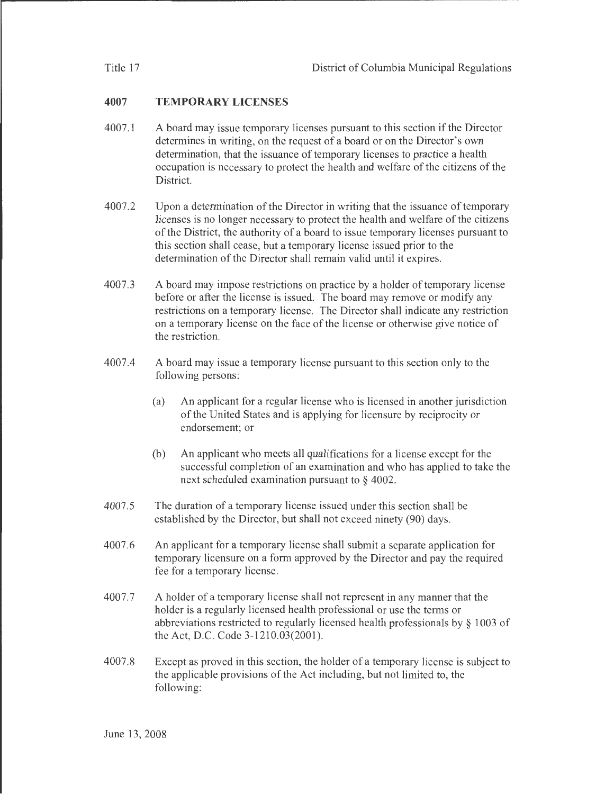## **4007 TEMPORARY LICENSES**

- 4007.1 A board may issue temporary licenses pursuant to this section if the Director determines in writing, on the request of a board or on the Director's own determination, that the issuance of temporary licenses to practice a health occupation is necessary to protect the health and welfare of the citizens of the District.
- 4007.2 Upon a determination of the Director in writing that the issuance of temporary licenses is no longer necessary to protect the health and welfare of the citizens of the District, the authority of a board to issue temporary licenses pursuant to this section shall cease, but a temporary license issued prior to the determination of the Director shall remain valid until it expires.
- 4007.3 A board may impose restrictions on practice by a holder of temporary license before or after the license is issued. The board may remove or modify any restrictions on a temporary license. The Director shall indicate any restriction on a temporary license on the face of the license or otherwise give notice of the restriction.
- 4007.4 A board may issue a temporary license pursuant to this section only to the following persons:
	- (a) An applicant for a regular license who is licensed in another jurisdiction of the United States and is applying for licensure by reciprocity or endorsement; or
	- (b) An applicant who meets all qualifications for a license except for the successful completion of an examination and who has applied to take the next scheduled examination pursuant to § 4002.
- 4007.5 The duration of a temporary license issued under this section shall be established by the Director, but shall not exceed ninety (90) days.
- 4007.6 An applicant for a temporary license shall submit a separate application for temporary licensure on a form approved by the Director and pay the required fee for a temporary license.
- 4007.7 A holder of a temporary license shall not represent in any manner that the holder is a regularly licensed health professional or use the terms or abbreviations restricted to regularly licensed health professionals by § 1003 of the Act, D.C. Code 3-1210.03(2001).
- 4007.8 Except as proved in this section, the holder of a temporary license is subject to the applicable provisions of the Act including, but not limited to, the following: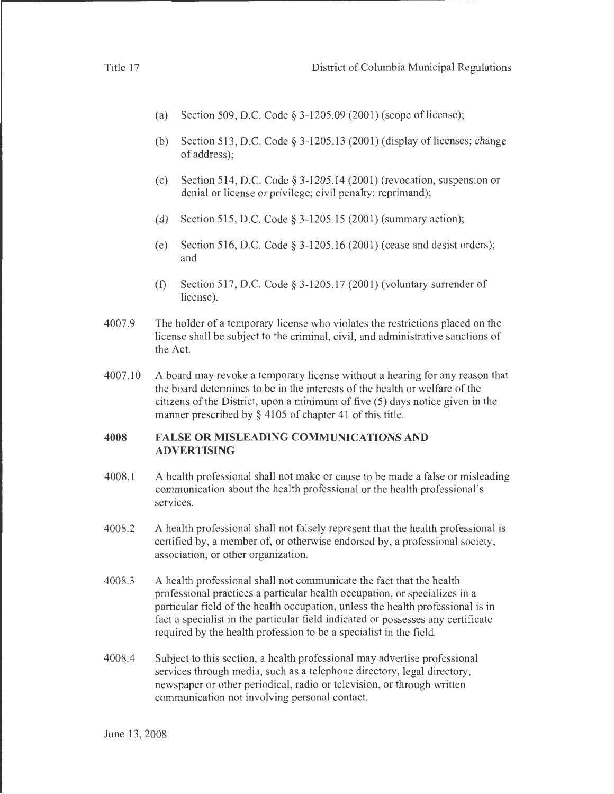- (a) Section 509, D.C. Code  $\S 3-1205.09$  (2001) (scope of license);
- (b) Section 513, D.C. Code  $\S$  3-1205.13 (2001) (display of licenses; change of address);
- (c) Section 514, D.C. Code  $\S 3-1205.14$  (2001) (revocation, suspension or denial or license or privilege; civil penalty; reprimand);
- (d) Section 515, D.C. Code§ 3-1205.15 (2001) (summary action);
- (e) Section 516, D.C. Code§ 3-1205.16 (2001) (cease and desist orders); and
- (f) Section 517, D.C. Code  $\S 3-1205.17$  (2001) (voluntary surrender of license).
- 4007.9 The holder of a temporary license who violates the restrictions placed on the license shall be subject to the criminal, civil, and administrative sanctions of the Act.
- 4007.10 A board may revoke a temporary license without a hearing for any reason that the board determines to be in the interests of the health or welfare of the citizens ofthe District, upon a minimum of five (5) days notice given in the manner prescribed by  $\S$  4105 of chapter 41 of this title.

#### **4008 FALSE OR MISLEADING COMMUNICATIONS AND ADVERTISING**

- 4008.1 A health professional shall not make or cause to be made a false or misleading communication about the health professional or the health professional's services.
- 4008.2 A health professional shall not falsely represent that the health professional is certified by, a member of, or otherwise endorsed by, a professional society, association, or other organization.
- 4008.3 A health professional shall not communicate the fact that the health professional practices a particular health occupation, or specializes in a particular field of the health occupation, unless the health professional is in fact a specialist in the particular field indicated or possesses any certificate required by the health profession to be a specialist in the field.
- 4008.4 Subject to this section, a health professional may advertise professional services through media, such as a telephone directory, legal directory, newspaper or other periodical, radio or television, or through written communication not involving personal contact.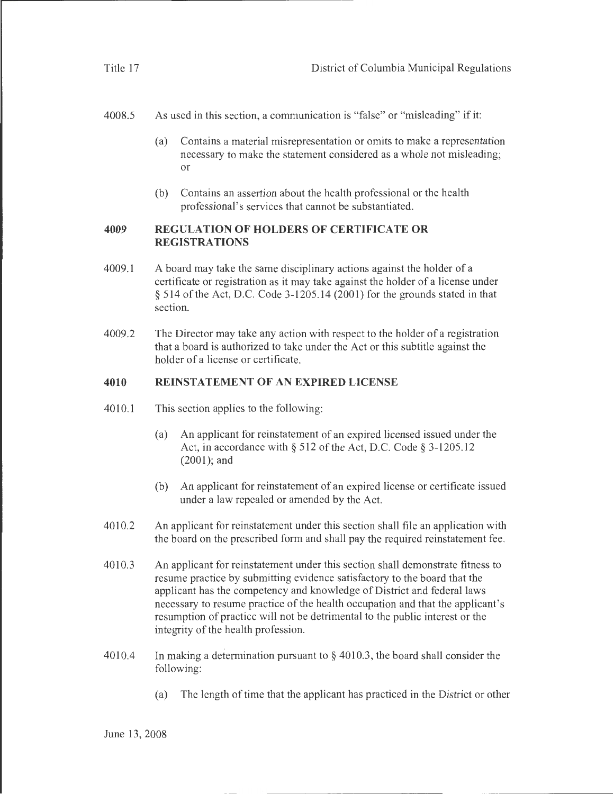4008.5 As used in this section, a communication is "false" or "misleading" if it:

- (a) Contains a material misrepresentation or omits to make a representation necessary to make the statement considered as a whole not misleading; or
- (b) Contains an assertion about the health professional or the health professional's services that cannot be substantiated.

#### **4009 REGULATION OF HOLDERS OF CERTIFICATE OR REGISTRATIONS**

- 4009.1 A board may take the same disciplinary actions against the holder of a certificate or registration as it may take against the holder of a license under  $§$  514 of the Act, D.C. Code 3-1205.14 (2001) for the grounds stated in that section.
- 4009.2 The Director may take any action with respect to the holder of a registration that a board is authorized to take under the Act or this subtitle against the holder of a license or certificate.

#### **4010 REINSTATEMENT OF AN EXPIRED LICENSE**

- 4010.1 This section applies to the following:
	- (a) An applicant for reinstatement of an expired licensed issued under the Act, in accordance with  $\S$  512 of the Act, D.C. Code  $\S$  3-1205.12 (2001); and
	- (b) An applicant for reinstatement of an expired license or certificate issued under a law repealed or amended by the Act.
- 4010.2 An applicant for reinstatement under this section shall file an application with the board on the prescribed form and shall pay the required reinstatement fee.
- 4010.3 An applicant for reinstatement under this section shall demonstrate fitness to resume practice by submitting evidence satisfactory to the board that the applicant has the competency and knowledge of District and federal laws necessary to resume practice of the health occupation and that the applicant's resumption of practice will not be detrimental to the public interest or the integrity of the health profession.
- 4010.4 In making a determination pursuant to  $\S$  4010.3, the board shall consider the following:
	- (a) The length of time that the applicant has practiced in the District or other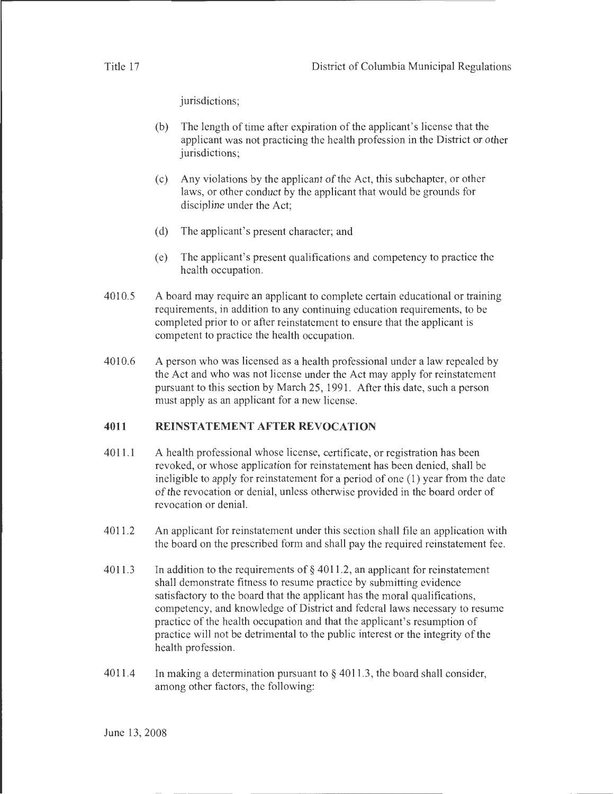jurisdictions;

- (b) The length of time after expiration of the applicant's license that the applicant was not practicing the health profession in the District or other jurisdictions;
- (c) Any violations by the applicant of the Act, this subchapter, or other laws, or other conduct by the applicant that would be grounds for discipline under the Act;
- (d) The applicant's present character; and
- (e) The applicant's present qualifications and competency to practice the health occupation.
- 4010.5 A board may require an applicant to complete certain educational or training requirements, in addition to any continuing education requirements, to be completed prior to or after reinstatement to ensure that the applicant is competent to practice the health occupation.
- 4010.6 A person who was licensed as a health professional under a law repealed by the Act and who was not license under the Act may apply for reinstatement pursuant to this section by March 25, 1991. After this date, such a person must apply as an applicant for a new license.

#### **4011 REINSTATEMENT AFTER REVOCATION**

- 4011.1 A health professional whose license, certificate, or registration has been revoked, or whose application for reinstatement has been denied, shall be ineligible to apply for reinstatement for a period of one ( 1) year from the date of the revocation or denial, unless otherwise provided in the board order of revocation or denial.
- 4011.2 An applicant for reinstatement under this section shall file an application with the board on the prescribed form and shall pay the required reinstatement fee.
- 4011.3 In addition to the requirements of  $\S$  4011.2, an applicant for reinstatement shall demonstrate fitness to resume practice by submitting evidence satisfactory to the board that the applicant has the moral qualifications, competency, and knowledge of District and federal laws necessary to resume practice of the health occupation and that the applicant's resumption of practice will not be detrimental to the public interest or the integrity of the health profession.
- 4011.4 In making a determination pursuant to § 4011.3, the board shall consider, among other factors, the following: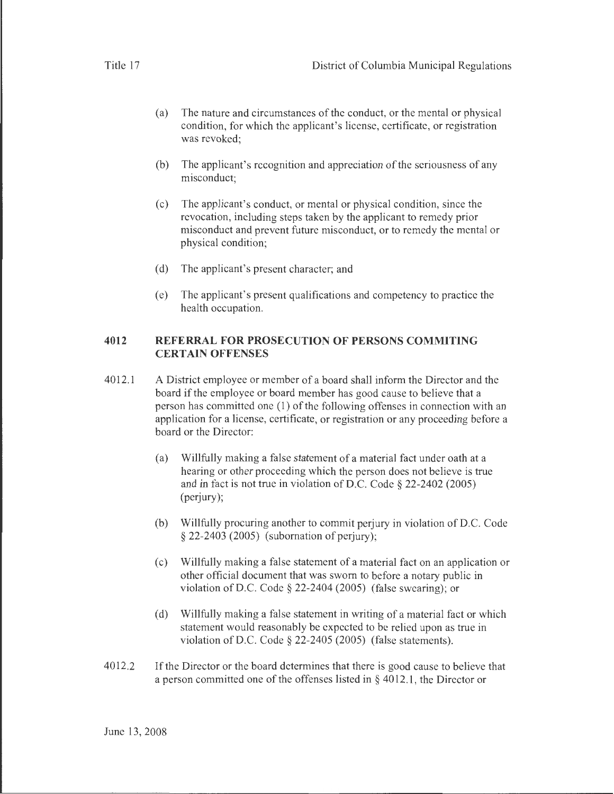- (a) The nature and circumstances of the conduct, or the mental or physical condition, for which the applicant's license, certificate, or registration was revoked;
- (b) The applicant's recognition and appreciation of the seriousness of any misconduct;
- (c) The applicant's conduct, or mental or physical condition, since the revocation, including steps taken by the applicant to remedy prior misconduct and prevent future misconduct, or to remedy the mental or physical condition;
- (d) The applicant's present character; and
- (e) The applicant's present qualifications and competency to practice the health occupation.

#### **4012 REFERRAL FOR PROSECUTION OF PERSONS COMMITING CERTAIN OFFENSES**

- 4012.1 A District employee or member of a board shall inform the Director and the board if the employee or board member has good cause to believe that a person has committed one (1) of the following offenses in connection with an application for a license, certificate, or registration or any proceeding before a board or the Director:
	- (a) Willfully making a false statement of a material fact under oath at a hearing or other proceeding which the person does not believe is true and in fact is not true in violation of D.C. Code § 22-2402 (2005) (perjury);
	- (b) Willfully procuring another to commit perjury in violation of D.C. Code § 22-2403 (2005) (subornation of perjury);
	- (c) Willfully making a false statement of a material fact on an application or other official document that was sworn to before a notary public in violation of D.C. Code § 22-2404 (2005) (false swearing); or
	- (d) Willfully making a false statement in writing of a material fact or which statement would reasonably be expected to be relied upon as true in violation of D.C. Code § 22-2405 (2005) (false statements).
- 4012.2 If the Director or the board determines that there is good cause to believe that a person committed one of the offenses listed in  $\S$  4012.1, the Director or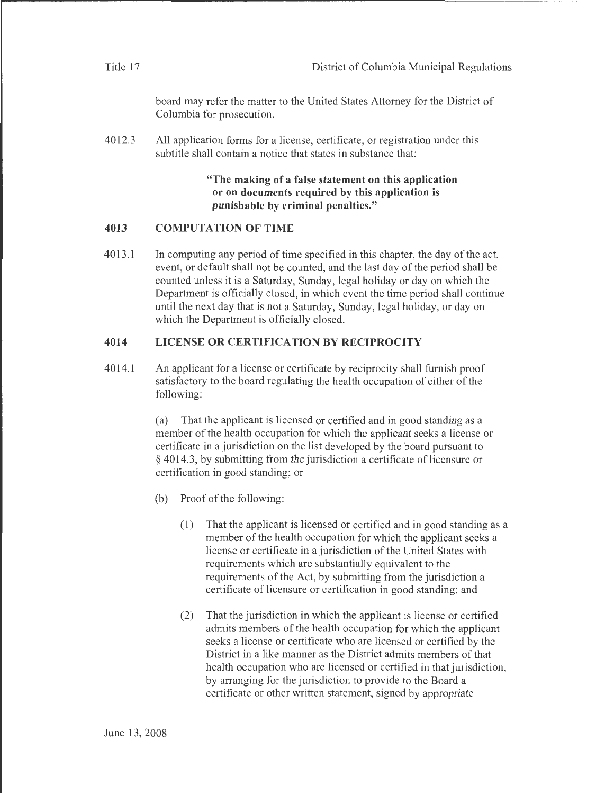| District of Columbia Municipal Regulations |  |  |
|--------------------------------------------|--|--|
|--------------------------------------------|--|--|

board may refer the matter to the United States Attorney for the District of Columbia for prosecution.

4012.3 All application forms for a license, certificate, or registration under this subtitle shall contain a notice that states in substance that:

> **"The making of a false statement on this application or on documents required by this application is punishable by criminal penalties."**

#### **4013 COMPUTATION OF TIME**

4013.1 In computing any period of time specified in this chapter, the day of the act, event, or default shall not be counted, and the last day of the period shall be counted unless it is a Saturday, Sunday, legal holiday or day on which the Department is officially closed, in which event the time period shall continue until the next day that is not a Saturday, Sunday, legal holiday, or day on which the Department is officially closed.

#### **4014 LICENSE OR CERTIFICATION BY RECIPROCITY**

4014.1 An applicant for a license or certificate by reciprocity shall furnish proof satisfactory to the board regulating the health occupation of either of the following:

> (a) That the applicant is licensed or certified and in good standing as a member of the health occupation for which the applicant seeks a license or certificate in a jurisdiction on the list developed by the board pursuant to § 4014.3, by submitting from the jurisdiction a certificate of licensure or certification in good standing; or

- (b) Proof of the following:
	- ( 1) That the applicant is licensed or certified and in good standing as a member of the health occupation for which the applicant seeks a license or certificate in a jurisdiction of the United States with requirements which are substantially equivalent to the requirements of the Act, by submitting from the jurisdiction a certificate of licensure or certification in good standing; and
	- (2) That the jurisdiction in which the applicant is license or certified admits members of the health occupation for which the applicant seeks a license or certificate who are licensed or certified by the District in a like manner as the District admits members of that health occupation who are licensed or certified in that jurisdiction, by arranging for the jurisdiction to provide to the Board a certificate or other written statement, signed by appropriate

Title 17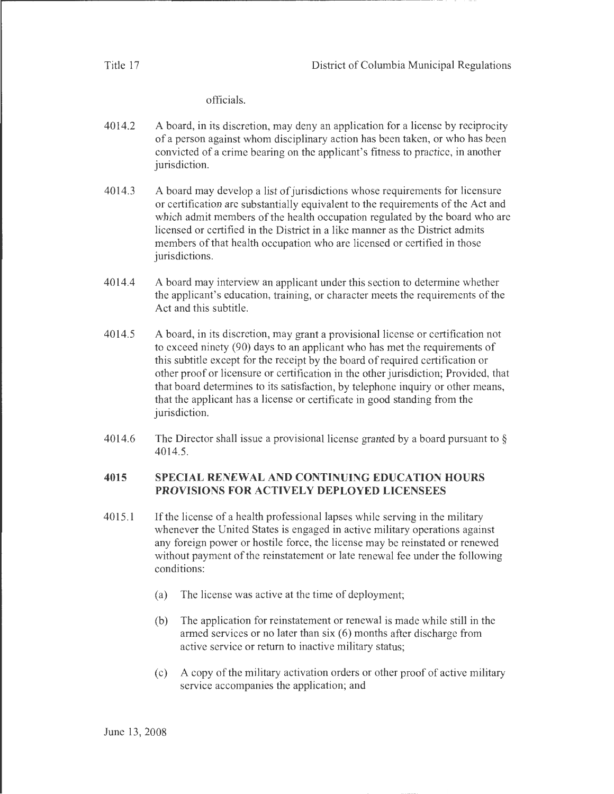Title 17

officials.

. The contract of the contract of the contract of  $\mathcal{L}$  ,  $\mathcal{L}$  ,  $\mathcal{L}$  ,  $\mathcal{L}$  ,  $\mathcal{L}$  ,  $\mathcal{L}$  ,  $\mathcal{L}$  ,  $\mathcal{L}$  ,  $\mathcal{L}$  ,  $\mathcal{L}$  ,  $\mathcal{L}$  ,  $\mathcal{L}$  ,  $\mathcal{L}$  ,  $\mathcal{L}$  ,  $\mathcal{L}$  ,  $\mathcal{L$ 

- 4014.2 A board, in its discretion, may deny an application for a license by reciprocity of a person against whom disciplinary action has been taken, or who has been convicted of a crime bearing on the applicant's fitness to practice, in another jurisdiction.
- 4014.3 A board may develop a list of jurisdictions whose requirements for licensure or certification are substantially equivalent to the requirements of the Act and which admit members of the health occupation regulated by the board who are licensed or certified in the District in a like manner as the District admits members of that health occupation who are licensed or certified in those jurisdictions.
- 4014.4 A board may interview an applicant under this section to determine whether the applicant's education, training, or character meets the requirements of the Act and this subtitle.
- 4014.5 A board, in its discretion, may grant a provisional license or certification not to exceed ninety (90) days to an applicant who has met the requirements of this subtitle except for the receipt by the board of required certification or other proof or licensure or certification in the other jurisdiction; Provided, that that board determines to its satisfaction, by telephone inquiry or other means, that the applicant has a license or certificate in good standing from the jurisdiction.
- 4014.6 The Director shall issue a provisional license granted by a board pursuant to § 4014.5.

#### **4015 SPECIAL RENEWAL AND CONTINUING EDUCATION HOURS PROVISIONS FOR ACTIVELY DEPLOYED LICENSEES**

- 4015.1 If the license of a health professional lapses while serving in the military whenever the United States is engaged in active military operations against any foreign power or hostile force, the license may be reinstated or renewed without payment of the reinstatement or late renewal fee under the following conditions:
	- (a) The license was active at the time of deployment;
	- (b) The application for reinstatement or renewal is made while still in the armed services or no later than six (6) months after discharge from active service or return to inactive military status;
	- (c) A copy of the military activation orders or other proof of active military service accompanies the application; and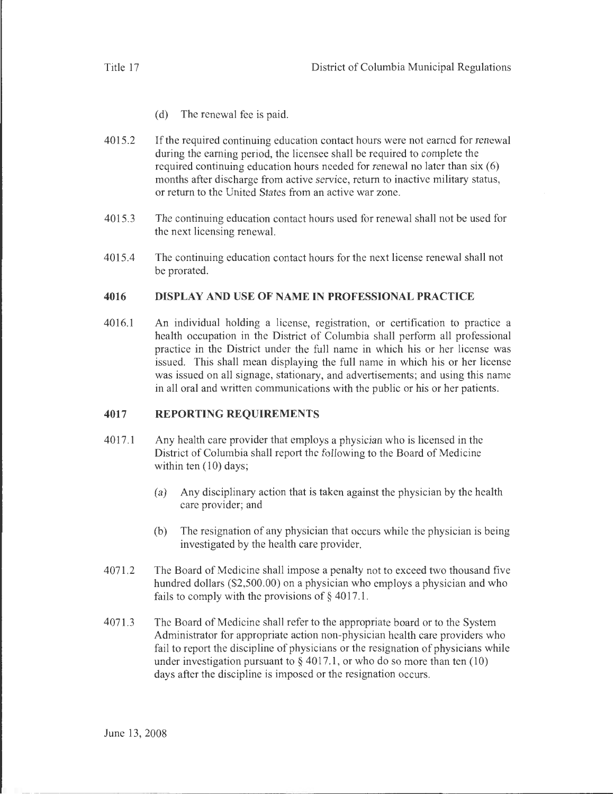- (d) The renewal fee is paid.
- 4015.2 If the required continuing education contact hours were not earned for renewal during the earning period, the licensee shall be required to complete the required continuing education hours needed for renewal no later than six (6) months after discharge from active service, return to inactive military status, or return to the United States from an active war zone.
- 4015.3 The continuing education contact hours used for renewal shall not be used for the next licensing renewal.
- 4015.4 The continuing education contact hours for the next license renewal shall not be prorated.

#### **4016 DISPLAY AND USE OF NAME IN PROFESSIONAL PRACTICE**

4016.1 An individual holding a license, registration, or certification to practice a health occupation in the District of Columbia shall perform all professional practice in the District under the full name in which his or her license was issued. This shall mean displaying the full name in which his or her license was issued on all signage, stationary, and advertisements; and using this name in all oral and written communications with the public or his or her patients.

#### **4017 REPORTING REQUIREMENTS**

- 4017.1 Any health care provider that employs a physician who is licensed in the District of Columbia shall report the following to the Board of Medicine within ten  $(10)$  days;
	- (a) Any disciplinary action that is taken against the physician by the health care provider; and
	- (b) The resignation of any physician that occurs while the physician is being investigated by the health care provider.
- 4071.2 The Board of Medicine shall impose a penalty not to exceed two thousand five hundred dollars (\$2,500.00) on a physician who employs a physician and who fails to comply with the provisions of  $\S$  4017.1.
- 4071.3 The Board of Medicine shall refer to the appropriate board or to the System Administrator for appropriate action non-physician health care providers who fail to report the discipline of physicians or the resignation of physicians while under investigation pursuant to  $\S 4017.1$ , or who do so more than ten (10) days after the discipline is imposed or the resignation occurs.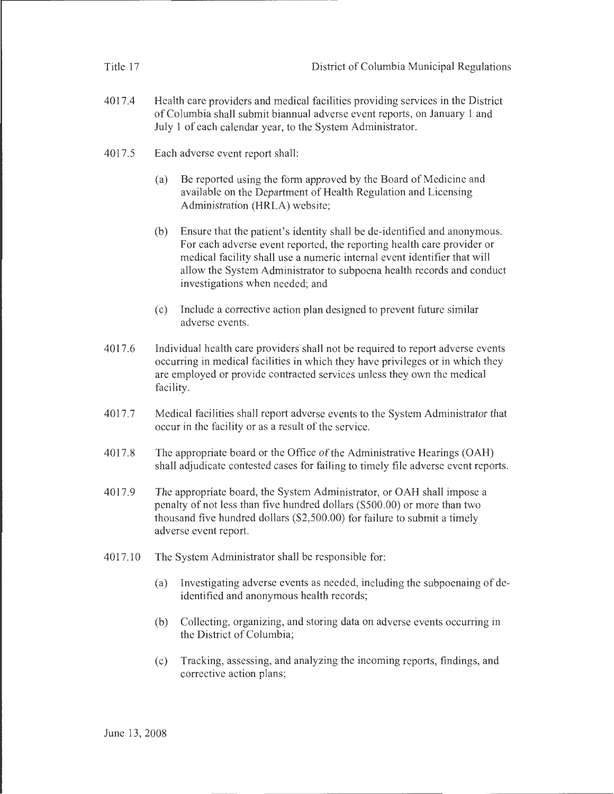|         | 4017.4 | Health care providers and medical facilities providing services in the District<br>of Columbia shall submit biannual adverse event reports, on January 1 and<br>July 1 of each calendar year, to the System Administrator.                                                                                                                        |  |
|---------|--------|---------------------------------------------------------------------------------------------------------------------------------------------------------------------------------------------------------------------------------------------------------------------------------------------------------------------------------------------------|--|
| 4017.5  |        | Each adverse event report shall:                                                                                                                                                                                                                                                                                                                  |  |
|         |        | Be reported using the form approved by the Board of Medicine and<br>(a)<br>available on the Department of Health Regulation and Licensing<br>Administration (HRLA) website;                                                                                                                                                                       |  |
|         |        | Ensure that the patient's identity shall be de-identified and anonymous.<br>(b)<br>For each adverse event reported, the reporting health care provider or<br>medical facility shall use a numeric internal event identifier that will<br>allow the System Administrator to subpoena health records and conduct<br>investigations when needed; and |  |
|         |        | Include a corrective action plan designed to prevent future similar<br>(c)<br>adverse events.                                                                                                                                                                                                                                                     |  |
|         | 4017.6 | Individual health care providers shall not be required to report adverse events<br>occurring in medical facilities in which they have privileges or in which they<br>are employed or provide contracted services unless they own the medical<br>facility.                                                                                         |  |
|         | 4017.7 | Medical facilities shall report adverse events to the System Administrator that<br>occur in the facility or as a result of the service.                                                                                                                                                                                                           |  |
|         | 4017.8 | The appropriate board or the Office of the Administrative Hearings (OAH)<br>shall adjudicate contested cases for failing to timely file adverse event reports.                                                                                                                                                                                    |  |
|         | 4017.9 | The appropriate board, the System Administrator, or OAH shall impose a<br>penalty of not less than five hundred dollars (\$500.00) or more than two<br>thousand five hundred dollars (\$2,500.00) for failure to submit a timely<br>adverse event report.                                                                                         |  |
| 4017.10 |        | The System Administrator shall be responsible for:                                                                                                                                                                                                                                                                                                |  |
|         |        | Investigating adverse events as needed, including the subpoenaing of de-<br>(a)<br>identified and anonymous health records;                                                                                                                                                                                                                       |  |
|         |        | Collecting, organizing, and storing data on adverse events occurring in<br>(b)<br>the District of Columbia;                                                                                                                                                                                                                                       |  |
|         |        | Tracking, assessing, and analyzing the incoming reports, findings, and<br>(c)<br>corrective action plans;                                                                                                                                                                                                                                         |  |
|         |        |                                                                                                                                                                                                                                                                                                                                                   |  |

Title 17 District of Columbia Municipal Regulations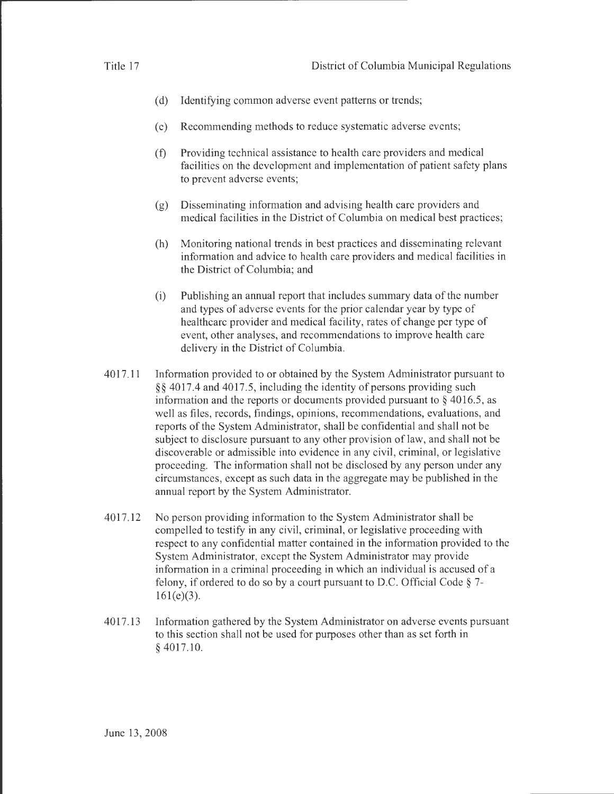- 
- (d) Identifying common adverse event patterns or trends;
- (e) Recommending methods to reduce systematic adverse events;
- (f) Providing technical assistance to health care providers and medical facilities on the development and implementation of patient safety plans to prevent adverse events;
- (g) Disseminating information and advising health care providers and medical facilities in the District of Columbia on medical best practices;
- (h) Monitoring national trends in best practices and disseminating relevant information and advice to health care providers and medical facilities in the District of Columbia; and
- (i) Publishing an annual report that includes summary data of the number and types of adverse events for the prior calendar year by type of healthcare provider and medical facility, rates of change per type of event, other analyses, and recommendations to improve health care delivery in the District of Columbia.
- 4017.11 Information provided to or obtained by the System Administrator pursuant to § § 4017.4 and 4017.5, including the identity of persons providing such information and the reports or documents provided pursuant to  $\S$  4016.5, as well as files, records, findings, opinions, recommendations, evaluations, and reports of the System Administrator, shall be confidential and shall not be subject to disclosure pursuant to any other provision of law, and shall not be discoverable or admissible into evidence in any civil, criminal, or legislative proceeding. The information shall not be disclosed by any person under any circumstances, except as such data in the aggregate may be published in the annual report by the System Administrator.
- 4017.12 No person providing information to the System Administrator shall be compelled to testify in any civil, criminal, or legislative proceeding with respect to any confidential matter contained in the information provided to the System Administrator, except the System Administrator may provide information in a criminal proceeding in which an individual is accused of a felony, if ordered to do so by a court pursuant to D.C. Official Code § 7-  $161 (e)(3)$ .
- 4017.13 Information gathered by the System Administrator on adverse events pursuant to this section shall not be used for purposes other than as set forth in § 4017.10.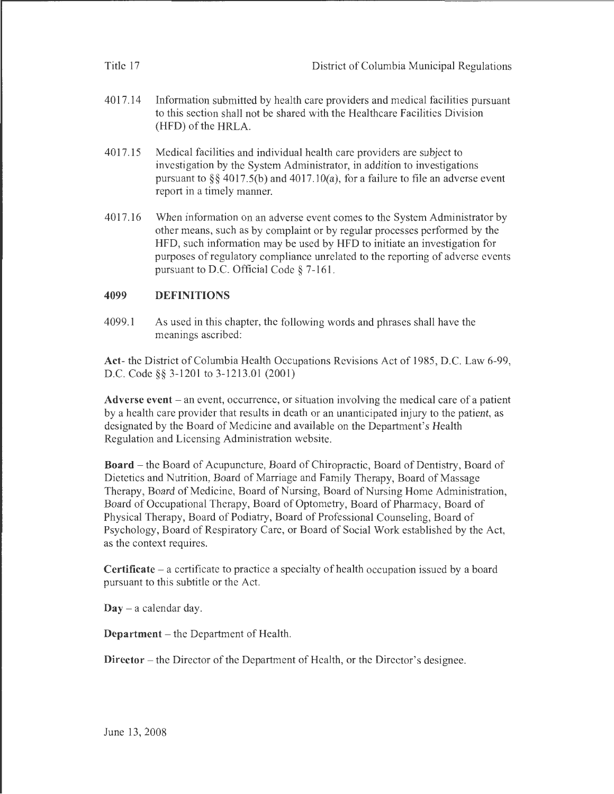| Title 17 | District of Columbia Municipal Regulations                                                                                                                                                                                                                              |
|----------|-------------------------------------------------------------------------------------------------------------------------------------------------------------------------------------------------------------------------------------------------------------------------|
| 4017.14  | Information submitted by health care providers and medical facilities pursuant<br>to this section shall not be shared with the Healthcare Facilities Division<br>(HFD) of the HRLA.                                                                                     |
| 4017.15  | Medical facilities and individual health care providers are subject to<br>investigation by the System Administrator, in addition to investigations<br>pursuant to $\S$ § 4017.5(b) and 4017.10(a), for a failure to file an adverse event<br>report in a timely manner. |
| 4017.16  | When information on an adverse event comes to the System Administrator by<br>other means, such as by complaint or by regular processes performed by the                                                                                                                 |

# HFD, such information may be used by HFD to initiate an investigation for purposes of regulatory compliance unrelated to the reporting of adverse events pursuant to D.C. Official Code§ 7-161.

## 4099 DEFINITIONS

4099.1 As used in this chapter, the following words and phrases shall have the meanings ascribed:

Act- the District of Columbia Health Occupations Revisions Act of 1985, D.C. Law 6-99, D.C. Code§§ 3-1201 to 3-1213.01 (2001)

Adverse event – an event, occurrence, or situation involving the medical care of a patient by a health care provider that results in death or an unanticipated injury to the patient, as designated by the Board of Medicine and available on the Department's Health Regulation and Licensing Administration website.

Board - the Board of Acupuncture, Board of Chiropractic, Board of Dentistry, Board of Dietetics and Nutrition, Board of Marriage and Family Therapy, Board of Massage Therapy, Board of Medicine, Board of Nursing, Board of Nursing Home Administration, Board of Occupational Therapy, Board of Optometry, Board of Pharmacy, Board of Physical Therapy, Board of Podiatry, Board of Professional Counseling, Board of Psychology, Board of Respiratory Care, or Board of Social Work established by the Act, as the context requires.

Certificate - a certificate to practice a specialty of health occupation issued by a board pursuant to this subtitle or the Act.

 $\mathbf{Day} - \mathbf{a}$  calendar day.

Department – the Department of Health.

Director – the Director of the Department of Health, or the Director's designee.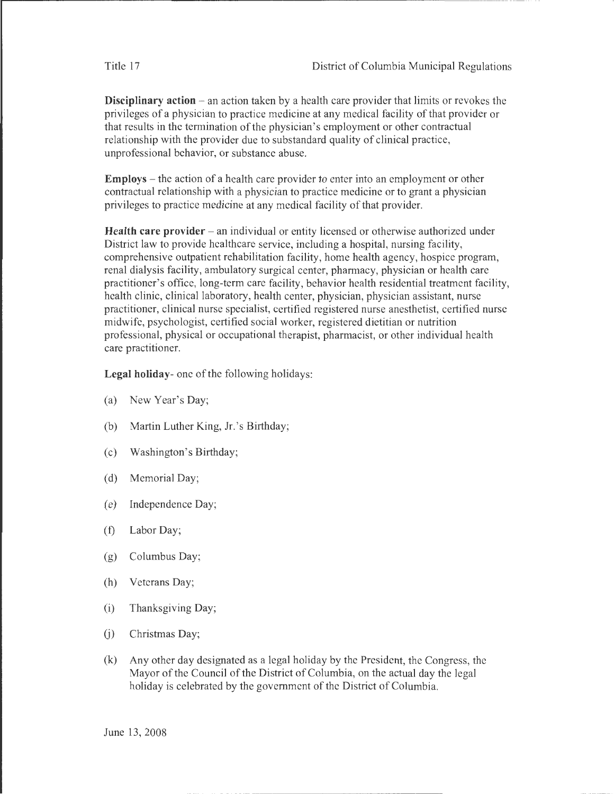**Disciplinary action** – an action taken by a health care provider that limits or revokes the privileges of a physician to practice medicine at any medical facility of that provider or that results in the termination of the physician's employment or other contractual relationship with the provider due to substandard quality of clinical practice, unprofessional behavior, or substance abuse.

**Employs** - the action of a health care provider to enter into an employment or other contractual relationship with a physician to practice medicine or to grant a physician privileges to practice medicine at any medical facility of that provider.

**Health care provider** – an individual or entity licensed or otherwise authorized under District law to provide healthcare service, including a hospital, nursing facility, comprehensive outpatient rehabilitation facility, home health agency, hospice program, renal dialysis facility, ambulatory surgical center, pharmacy, physician or health care practitioner's office, long-term care facility, behavior health residential treatment facility, health clinic, clinical laboratory, health center, physician, physician assistant, nurse practitioner, clinical nurse specialist, certified registered nurse anesthetist, certified nurse midwife, psychologist, certified social worker, registered dietitian or nutrition professional, physical or occupational therapist, pharmacist, or other individual health care practitioner.

**Legal holiday-** one of the following holidays:

- (a) New Year's Day;
- (b) Martin Luther King, Jr. 's Birthday;
- (c) Washington's Birthday;
- (d) Memorial Day;
- (e) Independence Day;
- (f) Labor Day;
- (g) Columbus Day;
- (h) Veterans Day;
- (i) Thanksgiving Day;
- (j) Christmas Day;
- (k) Any other day designated as a legal holiday by the President, the Congress, the Mayor of the Council of the District of Columbia, on the actual day the legal holiday is celebrated by the government of the District of Columbia.